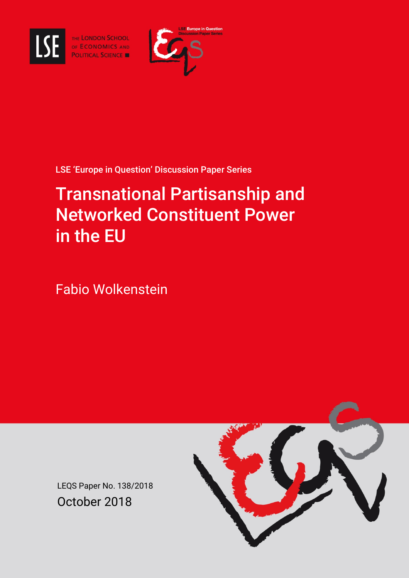

THE LONDON SCHOOL<br>OF ECONOMICS AND<br>POLITICAL SCIENCE



LSE 'Europe in Question' Discussion Paper Series

# Transnational Partisanship and Networked Constituent Power in the EU

Fabio Wolkenstein



LEQS Paper No. 138/2018 October 2018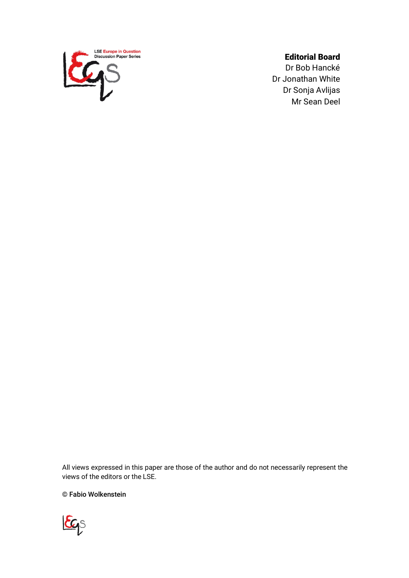

#### Editorial Board

Dr Bob Hancké Dr Jonathan White Dr Sonja Avlijas Mr Sean Deel

All views expressed in this paper are those of the author and do not necessarily represent the views of the editors or the LSE.

© Fabio Wolkenstein

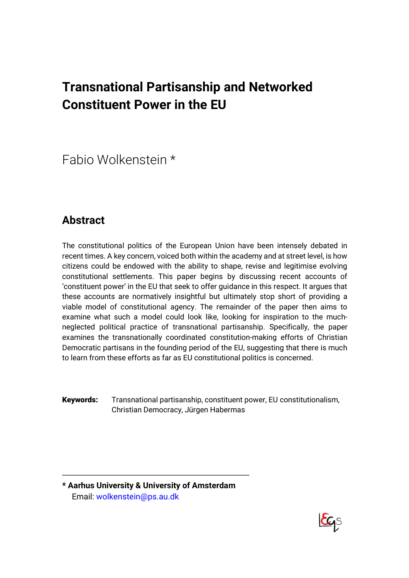## **Transnational Partisanship and Networked Constituent Power in the EU**

## Fabio Wolkenstein \*

## **Abstract**

The constitutional politics of the European Union have been intensely debated in recent times. A key concern, voiced both within the academy and at street level, is how citizens could be endowed with the ability to shape, revise and legitimise evolving constitutional settlements. This paper begins by discussing recent accounts of 'constituent power' in the EU that seek to offer guidance in this respect. It argues that these accounts are normatively insightful but ultimately stop short of providing a viable model of constitutional agency. The remainder of the paper then aims to examine what such a model could look like, looking for inspiration to the muchneglected political practice of transnational partisanship. Specifically, the paper examines the transnationally coordinated constitution-making efforts of Christian Democratic partisans in the founding period of the EU, suggesting that there is much to learn from these efforts as far as EU constitutional politics is concerned.

Keywords: Transnational partisanship, constituent power, EU constitutionalism, Christian Democracy, Jürgen Habermas

**\* Aarhus University & University of Amsterdam** Email: wolkenstein@ps.au.dk

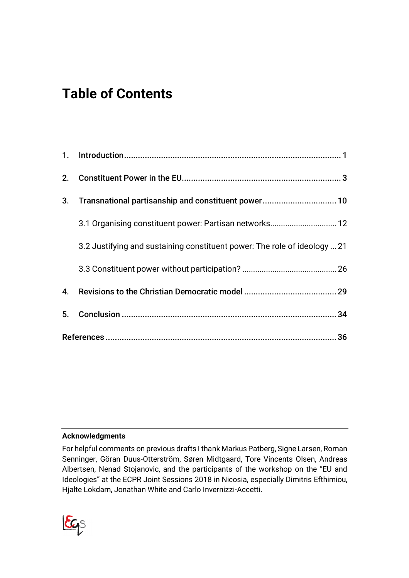## **Table of Contents**

| 2. |                                                                           |  |
|----|---------------------------------------------------------------------------|--|
| 3. | Transnational partisanship and constituent power 10                       |  |
|    | 3.1 Organising constituent power: Partisan networks 12                    |  |
|    | 3.2 Justifying and sustaining constituent power: The role of ideology  21 |  |
|    |                                                                           |  |
| 4. |                                                                           |  |
| 5. |                                                                           |  |
|    |                                                                           |  |

#### **Acknowledgments**

For helpful comments on previous drafts I thank Markus Patberg, Signe Larsen, Roman Senninger, Göran Duus-Otterström, Søren Midtgaard, Tore Vincents Olsen, Andreas Albertsen, Nenad Stojanovic, and the participants of the workshop on the "EU and Ideologies" at the ECPR Joint Sessions 2018 in Nicosia, especially Dimitris Efthimiou, Hjalte Lokdam, Jonathan White and Carlo Invernizzi-Accetti.

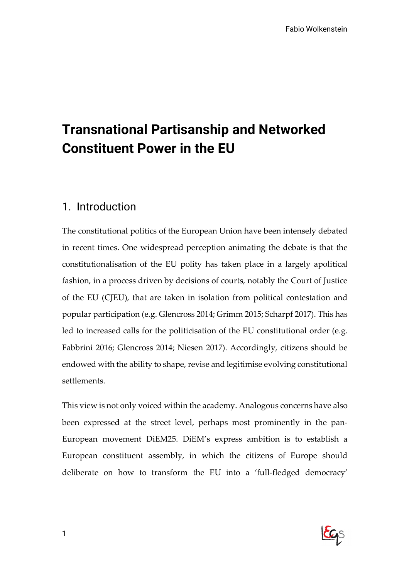## **Transnational Partisanship and Networked Constituent Power in the EU**

### 1. Introduction

The constitutional politics of the European Union have been intensely debated in recent times. One widespread perception animating the debate is that the constitutionalisation of the EU polity has taken place in a largely apolitical fashion, in a process driven by decisions of courts, notably the Court of Justice of the EU (CJEU), that are taken in isolation from political contestation and popular participation (e.g. Glencross 2014; Grimm 2015; Scharpf 2017). This has led to increased calls for the politicisation of the EU constitutional order (e.g. Fabbrini 2016; Glencross 2014; Niesen 2017). Accordingly, citizens should be endowed with the ability to shape, revise and legitimise evolving constitutional settlements.

This view is not only voiced within the academy. Analogous concerns have also been expressed at the street level, perhaps most prominently in the pan-European movement DiEM25. DiEM's express ambition is to establish a European constituent assembly, in which the citizens of Europe should deliberate on how to transform the EU into a 'full-fledged democracy'

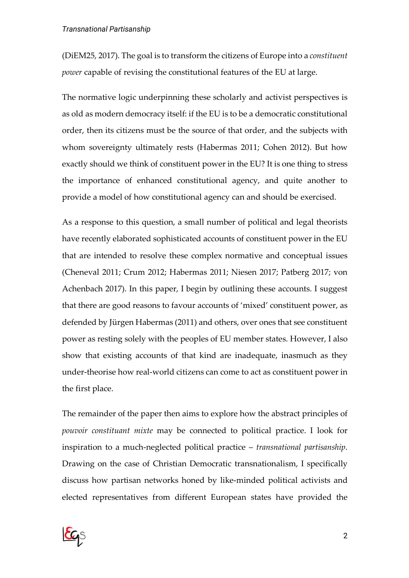(DiEM25, 2017). The goal is to transform the citizens of Europe into a *constituent power* capable of revising the constitutional features of the EU at large.

The normative logic underpinning these scholarly and activist perspectives is as old as modern democracy itself: if the EU is to be a democratic constitutional order, then its citizens must be the source of that order, and the subjects with whom sovereignty ultimately rests (Habermas 2011; Cohen 2012). But how exactly should we think of constituent power in the EU? It is one thing to stress the importance of enhanced constitutional agency, and quite another to provide a model of how constitutional agency can and should be exercised.

As a response to this question, a small number of political and legal theorists have recently elaborated sophisticated accounts of constituent power in the EU that are intended to resolve these complex normative and conceptual issues (Cheneval 2011; Crum 2012; Habermas 2011; Niesen 2017; Patberg 2017; von Achenbach 2017). In this paper, I begin by outlining these accounts. I suggest that there are good reasons to favour accounts of 'mixed' constituent power, as defended by Jürgen Habermas (2011) and others, over ones that see constituent power as resting solely with the peoples of EU member states. However, I also show that existing accounts of that kind are inadequate, inasmuch as they under-theorise how real-world citizens can come to act as constituent power in the first place.

The remainder of the paper then aims to explore how the abstract principles of *pouvoir constituant mixte* may be connected to political practice. I look for inspiration to a much-neglected political practice – *transnational partisanship*. Drawing on the case of Christian Democratic transnationalism, I specifically discuss how partisan networks honed by like-minded political activists and elected representatives from different European states have provided the

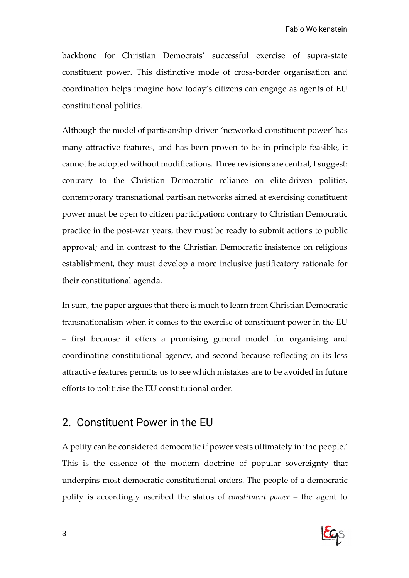backbone for Christian Democrats' successful exercise of supra-state constituent power. This distinctive mode of cross-border organisation and coordination helps imagine how today's citizens can engage as agents of EU constitutional politics.

Although the model of partisanship-driven 'networked constituent power' has many attractive features, and has been proven to be in principle feasible, it cannot be adopted without modifications. Three revisions are central, I suggest: contrary to the Christian Democratic reliance on elite-driven politics, contemporary transnational partisan networks aimed at exercising constituent power must be open to citizen participation; contrary to Christian Democratic practice in the post-war years, they must be ready to submit actions to public approval; and in contrast to the Christian Democratic insistence on religious establishment, they must develop a more inclusive justificatory rationale for their constitutional agenda.

In sum, the paper argues that there is much to learn from Christian Democratic transnationalism when it comes to the exercise of constituent power in the EU – first because it offers a promising general model for organising and coordinating constitutional agency, and second because reflecting on its less attractive features permits us to see which mistakes are to be avoided in future efforts to politicise the EU constitutional order.

### 2. Constituent Power in the EU

A polity can be considered democratic if power vests ultimately in 'the people.' This is the essence of the modern doctrine of popular sovereignty that underpins most democratic constitutional orders. The people of a democratic polity is accordingly ascribed the status of *constituent power* – the agent to

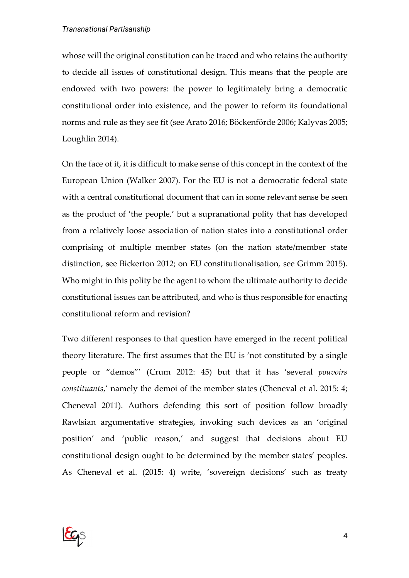whose will the original constitution can be traced and who retains the authority to decide all issues of constitutional design. This means that the people are endowed with two powers: the power to legitimately bring a democratic constitutional order into existence, and the power to reform its foundational norms and rule as they see fit (see Arato 2016; Böckenförde 2006; Kalyvas 2005; Loughlin 2014).

On the face of it, it is difficult to make sense of this concept in the context of the European Union (Walker 2007). For the EU is not a democratic federal state with a central constitutional document that can in some relevant sense be seen as the product of 'the people,' but a supranational polity that has developed from a relatively loose association of nation states into a constitutional order comprising of multiple member states (on the nation state/member state distinction, see Bickerton 2012; on EU constitutionalisation, see Grimm 2015). Who might in this polity be the agent to whom the ultimate authority to decide constitutional issues can be attributed, and who is thus responsible for enacting constitutional reform and revision?

Two different responses to that question have emerged in the recent political theory literature. The first assumes that the EU is 'not constituted by a single people or "demos"' (Crum 2012: 45) but that it has 'several *pouvoirs constituants*,' namely the demoi of the member states (Cheneval et al. 2015: 4; Cheneval 2011). Authors defending this sort of position follow broadly Rawlsian argumentative strategies, invoking such devices as an 'original position' and 'public reason,' and suggest that decisions about EU constitutional design ought to be determined by the member states' peoples. As Cheneval et al. (2015: 4) write, 'sovereign decisions' such as treaty

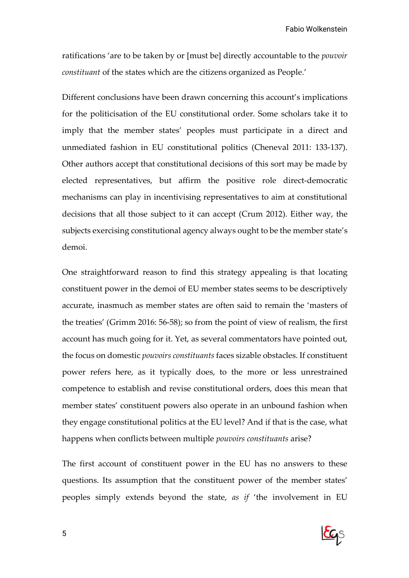ratifications 'are to be taken by or [must be] directly accountable to the *pouvoir constituant* of the states which are the citizens organized as People.'

Different conclusions have been drawn concerning this account's implications for the politicisation of the EU constitutional order. Some scholars take it to imply that the member states' peoples must participate in a direct and unmediated fashion in EU constitutional politics (Cheneval 2011: 133-137). Other authors accept that constitutional decisions of this sort may be made by elected representatives, but affirm the positive role direct-democratic mechanisms can play in incentivising representatives to aim at constitutional decisions that all those subject to it can accept (Crum 2012). Either way, the subjects exercising constitutional agency always ought to be the member state's demoi.

One straightforward reason to find this strategy appealing is that locating constituent power in the demoi of EU member states seems to be descriptively accurate, inasmuch as member states are often said to remain the 'masters of the treaties' (Grimm 2016: 56-58); so from the point of view of realism, the first account has much going for it. Yet, as several commentators have pointed out, the focus on domestic *pouvoirs constituants* faces sizable obstacles. If constituent power refers here, as it typically does, to the more or less unrestrained competence to establish and revise constitutional orders, does this mean that member states' constituent powers also operate in an unbound fashion when they engage constitutional politics at the EU level? And if that is the case, what happens when conflicts between multiple *pouvoirs constituants* arise?

The first account of constituent power in the EU has no answers to these questions. Its assumption that the constituent power of the member states' peoples simply extends beyond the state, *as if* 'the involvement in EU

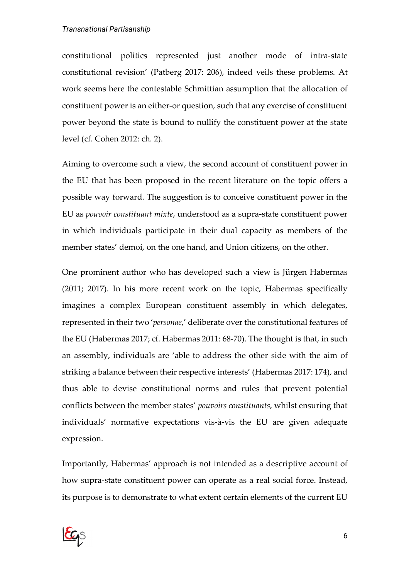#### *Transnational Partisanship*

constitutional politics represented just another mode of intra-state constitutional revision' (Patberg 2017: 206), indeed veils these problems. At work seems here the contestable Schmittian assumption that the allocation of constituent power is an either-or question, such that any exercise of constituent power beyond the state is bound to nullify the constituent power at the state level (cf. Cohen 2012: ch. 2).

Aiming to overcome such a view, the second account of constituent power in the EU that has been proposed in the recent literature on the topic offers a possible way forward. The suggestion is to conceive constituent power in the EU as *pouvoir constituant mixte*, understood as a supra-state constituent power in which individuals participate in their dual capacity as members of the member states' demoi, on the one hand, and Union citizens, on the other.

One prominent author who has developed such a view is Jürgen Habermas (2011; 2017). In his more recent work on the topic, Habermas specifically imagines a complex European constituent assembly in which delegates, represented in their two '*personae*,' deliberate over the constitutional features of the EU (Habermas 2017; cf. Habermas 2011: 68-70). The thought is that, in such an assembly, individuals are 'able to address the other side with the aim of striking a balance between their respective interests' (Habermas 2017: 174), and thus able to devise constitutional norms and rules that prevent potential conflicts between the member states' *pouvoirs constituants*, whilst ensuring that individuals' normative expectations vis-à-vis the EU are given adequate expression.

Importantly, Habermas' approach is not intended as a descriptive account of how supra-state constituent power can operate as a real social force. Instead, its purpose is to demonstrate to what extent certain elements of the current EU

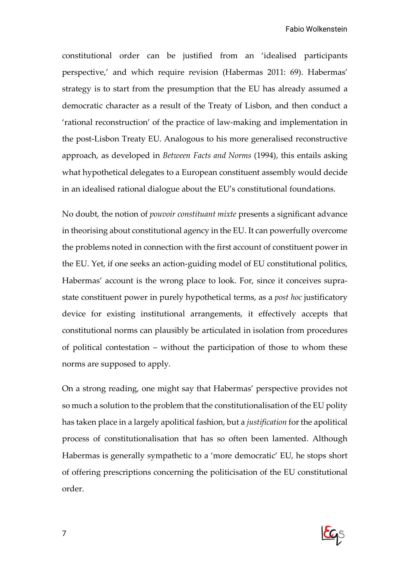constitutional order can be justified from an 'idealised participants perspective,' and which require revision (Habermas 2011: 69). Habermas' strategy is to start from the presumption that the EU has already assumed a democratic character as a result of the Treaty of Lisbon, and then conduct a 'rational reconstruction' of the practice of law-making and implementation in the post-Lisbon Treaty EU. Analogous to his more generalised reconstructive approach, as developed in *Between Facts and Norms* (1994), this entails asking what hypothetical delegates to a European constituent assembly would decide in an idealised rational dialogue about the EU's constitutional foundations.

No doubt, the notion of *pouvoir constituant mixte* presents a significant advance in theorising about constitutional agency in the EU. It can powerfully overcome the problems noted in connection with the first account of constituent power in the EU. Yet, if one seeks an action-guiding model of EU constitutional politics, Habermas' account is the wrong place to look. For, since it conceives suprastate constituent power in purely hypothetical terms, as a *post hoc* justificatory device for existing institutional arrangements, it effectively accepts that constitutional norms can plausibly be articulated in isolation from procedures of political contestation – without the participation of those to whom these norms are supposed to apply.

On a strong reading, one might say that Habermas' perspective provides not so much a solution to the problem that the constitutionalisation of the EU polity has taken place in a largely apolitical fashion, but a *justification* for the apolitical process of constitutionalisation that has so often been lamented. Although Habermas is generally sympathetic to a 'more democratic' EU, he stops short of offering prescriptions concerning the politicisation of the EU constitutional order.

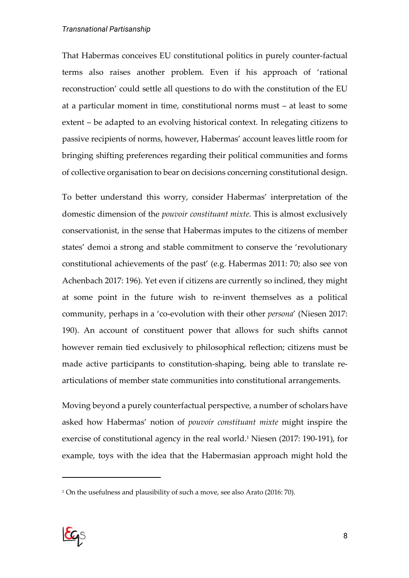#### *Transnational Partisanship*

That Habermas conceives EU constitutional politics in purely counter-factual terms also raises another problem. Even if his approach of 'rational reconstruction' could settle all questions to do with the constitution of the EU at a particular moment in time, constitutional norms must – at least to some extent – be adapted to an evolving historical context. In relegating citizens to passive recipients of norms, however, Habermas' account leaves little room for bringing shifting preferences regarding their political communities and forms of collective organisation to bear on decisions concerning constitutional design.

To better understand this worry, consider Habermas' interpretation of the domestic dimension of the *pouvoir constituant mixte*. This is almost exclusively conservationist, in the sense that Habermas imputes to the citizens of member states' demoi a strong and stable commitment to conserve the 'revolutionary constitutional achievements of the past' (e.g. Habermas 2011: 70; also see von Achenbach 2017: 196). Yet even if citizens are currently so inclined, they might at some point in the future wish to re-invent themselves as a political community, perhaps in a 'co-evolution with their other *persona*' (Niesen 2017: 190). An account of constituent power that allows for such shifts cannot however remain tied exclusively to philosophical reflection; citizens must be made active participants to constitution-shaping, being able to translate rearticulations of member state communities into constitutional arrangements.

Moving beyond a purely counterfactual perspective, a number of scholars have asked how Habermas' notion of *pouvoir constituant mixte* might inspire the exercise of constitutional agency in the real world.1 Niesen (2017: 190-191), for example, toys with the idea that the Habermasian approach might hold the

<sup>1</sup> On the usefulness and plausibility of such a move, see also Arato (2016: 70).

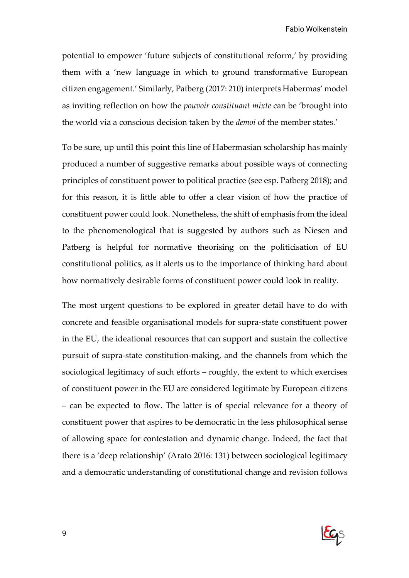potential to empower 'future subjects of constitutional reform,' by providing them with a 'new language in which to ground transformative European citizen engagement.' Similarly, Patberg (2017: 210) interprets Habermas' model as inviting reflection on how the *pouvoir constituant mixte* can be 'brought into the world via a conscious decision taken by the *demoi* of the member states.'

To be sure, up until this point this line of Habermasian scholarship has mainly produced a number of suggestive remarks about possible ways of connecting principles of constituent power to political practice (see esp. Patberg 2018); and for this reason, it is little able to offer a clear vision of how the practice of constituent power could look. Nonetheless, the shift of emphasis from the ideal to the phenomenological that is suggested by authors such as Niesen and Patberg is helpful for normative theorising on the politicisation of EU constitutional politics, as it alerts us to the importance of thinking hard about how normatively desirable forms of constituent power could look in reality.

The most urgent questions to be explored in greater detail have to do with concrete and feasible organisational models for supra-state constituent power in the EU, the ideational resources that can support and sustain the collective pursuit of supra-state constitution-making, and the channels from which the sociological legitimacy of such efforts – roughly, the extent to which exercises of constituent power in the EU are considered legitimate by European citizens – can be expected to flow. The latter is of special relevance for a theory of constituent power that aspires to be democratic in the less philosophical sense of allowing space for contestation and dynamic change. Indeed, the fact that there is a 'deep relationship' (Arato 2016: 131) between sociological legitimacy and a democratic understanding of constitutional change and revision follows

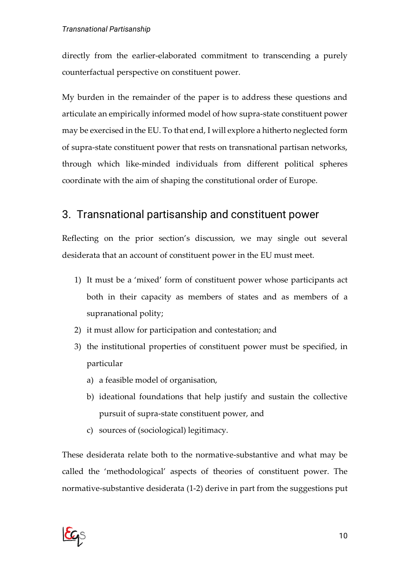directly from the earlier-elaborated commitment to transcending a purely counterfactual perspective on constituent power.

My burden in the remainder of the paper is to address these questions and articulate an empirically informed model of how supra-state constituent power may be exercised in the EU. To that end, I will explore a hitherto neglected form of supra-state constituent power that rests on transnational partisan networks, through which like-minded individuals from different political spheres coordinate with the aim of shaping the constitutional order of Europe.

## 3. Transnational partisanship and constituent power

Reflecting on the prior section's discussion, we may single out several desiderata that an account of constituent power in the EU must meet.

- 1) It must be a 'mixed' form of constituent power whose participants act both in their capacity as members of states and as members of a supranational polity;
- 2) it must allow for participation and contestation; and
- 3) the institutional properties of constituent power must be specified, in particular
	- a) a feasible model of organisation,
	- b) ideational foundations that help justify and sustain the collective pursuit of supra-state constituent power, and
	- c) sources of (sociological) legitimacy.

These desiderata relate both to the normative-substantive and what may be called the 'methodological' aspects of theories of constituent power. The normative-substantive desiderata (1-2) derive in part from the suggestions put

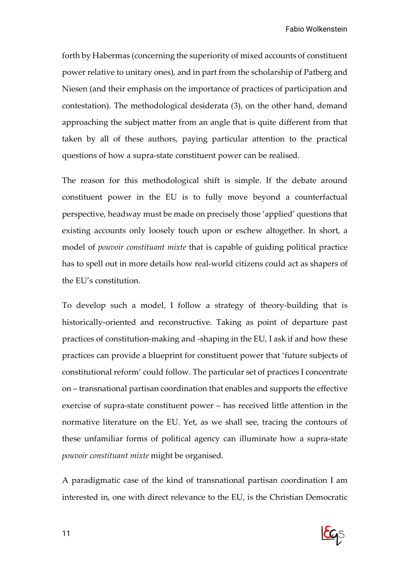forth by Habermas (concerning the superiority of mixed accounts of constituent power relative to unitary ones), and in part from the scholarship of Patberg and Niesen (and their emphasis on the importance of practices of participation and contestation). The methodological desiderata (3), on the other hand, demand approaching the subject matter from an angle that is quite different from that taken by all of these authors, paying particular attention to the practical questions of how a supra-state constituent power can be realised.

The reason for this methodological shift is simple. If the debate around constituent power in the EU is to fully move beyond a counterfactual perspective, headway must be made on precisely those 'applied' questions that existing accounts only loosely touch upon or eschew altogether. In short, a model of *pouvoir constituant mixte* that is capable of guiding political practice has to spell out in more details how real-world citizens could act as shapers of the EU's constitution.

To develop such a model, I follow a strategy of theory-building that is historically-oriented and reconstructive. Taking as point of departure past practices of constitution-making and -shaping in the EU, I ask if and how these practices can provide a blueprint for constituent power that 'future subjects of constitutional reform' could follow. The particular set of practices I concentrate on – transnational partisan coordination that enables and supports the effective exercise of supra-state constituent power – has received little attention in the normative literature on the EU. Yet, as we shall see, tracing the contours of these unfamiliar forms of political agency can illuminate how a supra-state *pouvoir constituant mixte* might be organised.

A paradigmatic case of the kind of transnational partisan coordination I am interested in, one with direct relevance to the EU, is the Christian Democratic

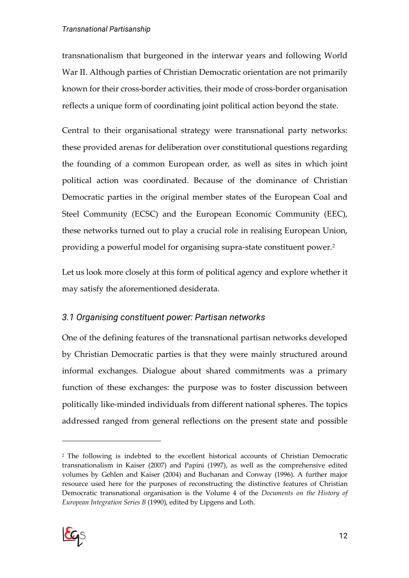transnationalism that burgeoned in the interwar years and following World War II. Although parties of Christian Democratic orientation are not primarily known for their cross-border activities, their mode of cross-border organisation reflects a unique form of coordinating joint political action beyond the state.

Central to their organisational strategy were transnational party networks: these provided arenas for deliberation over constitutional questions regarding the founding of a common European order, as well as sites in which joint political action was coordinated. Because of the dominance of Christian Democratic parties in the original member states of the European Coal and Steel Community (ECSC) and the European Economic Community (EEC), these networks turned out to play a crucial role in realising European Union, providing a powerful model for organising supra-state constituent power.2

Let us look more closely at this form of political agency and explore whether it may satisfy the aforementioned desiderata.

#### *3.1 Organising constituent power: Partisan networks*

One of the defining features of the transnational partisan networks developed by Christian Democratic parties is that they were mainly structured around informal exchanges. Dialogue about shared commitments was a primary function of these exchanges: the purpose was to foster discussion between politically like-minded individuals from different national spheres. The topics addressed ranged from general reflections on the present state and possible

<sup>2</sup> The following is indebted to the excellent historical accounts of Christian Democratic transnationalism in Kaiser (2007) and Papini (1997), as well as the comprehensive edited volumes by Gehlen and Kaiser (2004) and Buchanan and Conway (1996). A further major resource used here for the purposes of reconstructing the distinctive features of Christian Democratic transnational organisation is the Volume 4 of the *Documents on the History of European Integration Series B* (1990), edited by Lipgens and Loth.

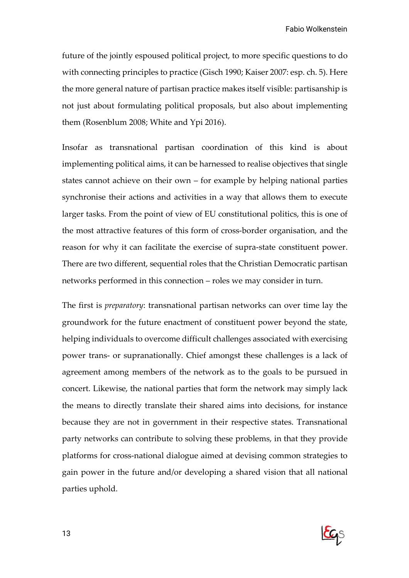future of the jointly espoused political project, to more specific questions to do with connecting principles to practice (Gisch 1990; Kaiser 2007: esp. ch. 5). Here the more general nature of partisan practice makes itself visible: partisanship is not just about formulating political proposals, but also about implementing them (Rosenblum 2008; White and Ypi 2016).

Insofar as transnational partisan coordination of this kind is about implementing political aims, it can be harnessed to realise objectives that single states cannot achieve on their own – for example by helping national parties synchronise their actions and activities in a way that allows them to execute larger tasks. From the point of view of EU constitutional politics, this is one of the most attractive features of this form of cross-border organisation, and the reason for why it can facilitate the exercise of supra-state constituent power. There are two different, sequential roles that the Christian Democratic partisan networks performed in this connection – roles we may consider in turn.

The first is *preparatory*: transnational partisan networks can over time lay the groundwork for the future enactment of constituent power beyond the state, helping individuals to overcome difficult challenges associated with exercising power trans- or supranationally. Chief amongst these challenges is a lack of agreement among members of the network as to the goals to be pursued in concert. Likewise, the national parties that form the network may simply lack the means to directly translate their shared aims into decisions, for instance because they are not in government in their respective states. Transnational party networks can contribute to solving these problems, in that they provide platforms for cross-national dialogue aimed at devising common strategies to gain power in the future and/or developing a shared vision that all national parties uphold.

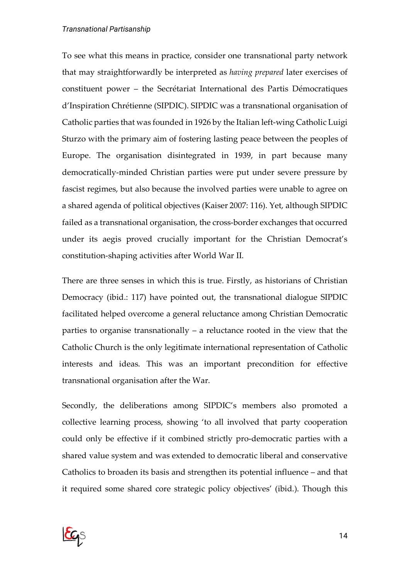#### *Transnational Partisanship*

To see what this means in practice, consider one transnational party network that may straightforwardly be interpreted as *having prepared* later exercises of constituent power – the Secrétariat International des Partis Démocratiques d'Inspiration Chrétienne (SIPDIC). SIPDIC was a transnational organisation of Catholic parties that was founded in 1926 by the Italian left-wing Catholic Luigi Sturzo with the primary aim of fostering lasting peace between the peoples of Europe. The organisation disintegrated in 1939, in part because many democratically-minded Christian parties were put under severe pressure by fascist regimes, but also because the involved parties were unable to agree on a shared agenda of political objectives (Kaiser 2007: 116). Yet, although SIPDIC failed as a transnational organisation, the cross-border exchanges that occurred under its aegis proved crucially important for the Christian Democrat's constitution-shaping activities after World War II.

There are three senses in which this is true. Firstly, as historians of Christian Democracy (ibid.: 117) have pointed out, the transnational dialogue SIPDIC facilitated helped overcome a general reluctance among Christian Democratic parties to organise transnationally – a reluctance rooted in the view that the Catholic Church is the only legitimate international representation of Catholic interests and ideas. This was an important precondition for effective transnational organisation after the War.

Secondly, the deliberations among SIPDIC's members also promoted a collective learning process, showing 'to all involved that party cooperation could only be effective if it combined strictly pro-democratic parties with a shared value system and was extended to democratic liberal and conservative Catholics to broaden its basis and strengthen its potential influence – and that it required some shared core strategic policy objectives' (ibid.). Though this

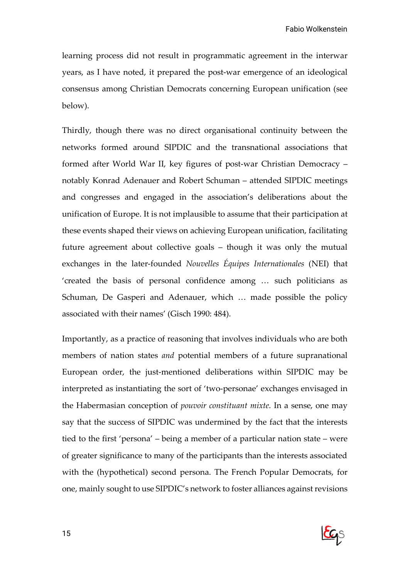learning process did not result in programmatic agreement in the interwar years, as I have noted, it prepared the post-war emergence of an ideological consensus among Christian Democrats concerning European unification (see below).

Thirdly, though there was no direct organisational continuity between the networks formed around SIPDIC and the transnational associations that formed after World War II, key figures of post-war Christian Democracy – notably Konrad Adenauer and Robert Schuman – attended SIPDIC meetings and congresses and engaged in the association's deliberations about the unification of Europe. It is not implausible to assume that their participation at these events shaped their views on achieving European unification, facilitating future agreement about collective goals – though it was only the mutual exchanges in the later-founded *Nouvelles Équipes Internationales* (NEI) that 'created the basis of personal confidence among … such politicians as Schuman, De Gasperi and Adenauer, which … made possible the policy associated with their names' (Gisch 1990: 484).

Importantly, as a practice of reasoning that involves individuals who are both members of nation states *and* potential members of a future supranational European order, the just-mentioned deliberations within SIPDIC may be interpreted as instantiating the sort of 'two-personae' exchanges envisaged in the Habermasian conception of *pouvoir constituant mixte*. In a sense, one may say that the success of SIPDIC was undermined by the fact that the interests tied to the first 'persona' – being a member of a particular nation state – were of greater significance to many of the participants than the interests associated with the (hypothetical) second persona. The French Popular Democrats, for one, mainly sought to use SIPDIC's network to foster alliances against revisions

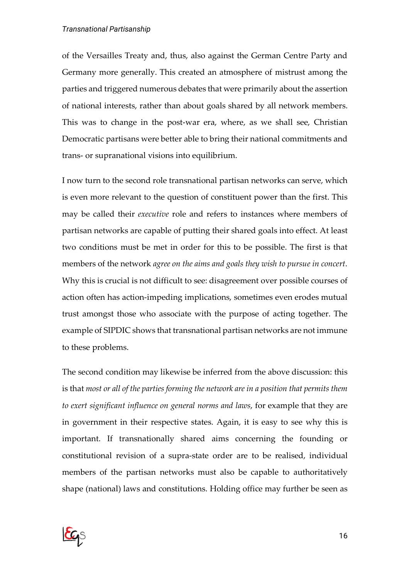#### *Transnational Partisanship*

of the Versailles Treaty and, thus, also against the German Centre Party and Germany more generally. This created an atmosphere of mistrust among the parties and triggered numerous debates that were primarily about the assertion of national interests, rather than about goals shared by all network members. This was to change in the post-war era, where, as we shall see, Christian Democratic partisans were better able to bring their national commitments and trans- or supranational visions into equilibrium.

I now turn to the second role transnational partisan networks can serve, which is even more relevant to the question of constituent power than the first. This may be called their *executive* role and refers to instances where members of partisan networks are capable of putting their shared goals into effect. At least two conditions must be met in order for this to be possible. The first is that members of the network *agree on the aims and goals they wish to pursue in concert*. Why this is crucial is not difficult to see: disagreement over possible courses of action often has action-impeding implications, sometimes even erodes mutual trust amongst those who associate with the purpose of acting together. The example of SIPDIC shows that transnational partisan networks are not immune to these problems.

The second condition may likewise be inferred from the above discussion: this is that *most or all of the parties forming the network are in a position that permits them to exert significant influence on general norms and laws*, for example that they are in government in their respective states. Again, it is easy to see why this is important. If transnationally shared aims concerning the founding or constitutional revision of a supra-state order are to be realised, individual members of the partisan networks must also be capable to authoritatively shape (national) laws and constitutions. Holding office may further be seen as

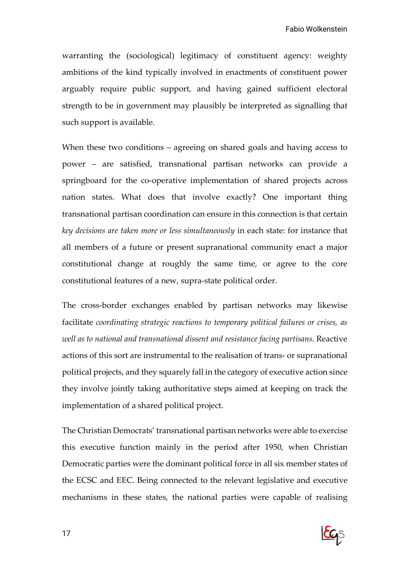warranting the (sociological) legitimacy of constituent agency: weighty ambitions of the kind typically involved in enactments of constituent power arguably require public support, and having gained sufficient electoral strength to be in government may plausibly be interpreted as signalling that such support is available.

When these two conditions – agreeing on shared goals and having access to power – are satisfied, transnational partisan networks can provide a springboard for the co-operative implementation of shared projects across nation states. What does that involve exactly? One important thing transnational partisan coordination can ensure in this connection is that certain *key decisions are taken more or less simultaneously* in each state: for instance that all members of a future or present supranational community enact a major constitutional change at roughly the same time, or agree to the core constitutional features of a new, supra-state political order.

The cross-border exchanges enabled by partisan networks may likewise facilitate *coordinating strategic reactions to temporary political failures or crises, as well as to national and transnational dissent and resistance facing partisans*. Reactive actions of this sort are instrumental to the realisation of trans- or supranational political projects, and they squarely fall in the category of executive action since they involve jointly taking authoritative steps aimed at keeping on track the implementation of a shared political project.

The Christian Democrats' transnational partisan networks were able to exercise this executive function mainly in the period after 1950, when Christian Democratic parties were the dominant political force in all six member states of the ECSC and EEC. Being connected to the relevant legislative and executive mechanisms in these states, the national parties were capable of realising

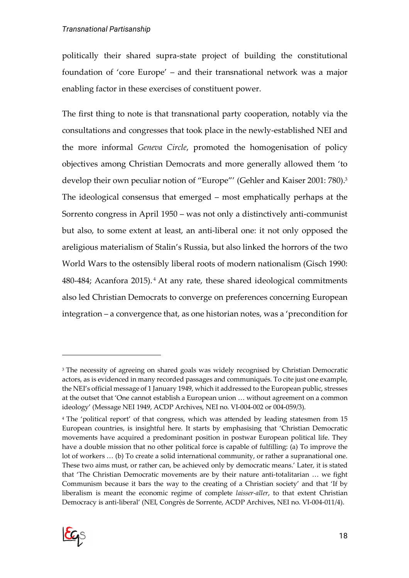politically their shared supra-state project of building the constitutional foundation of 'core Europe' – and their transnational network was a major enabling factor in these exercises of constituent power.

The first thing to note is that transnational party cooperation, notably via the consultations and congresses that took place in the newly-established NEI and the more informal *Geneva Circle*, promoted the homogenisation of policy objectives among Christian Democrats and more generally allowed them 'to develop their own peculiar notion of "Europe"' (Gehler and Kaiser 2001: 780).3 The ideological consensus that emerged – most emphatically perhaps at the Sorrento congress in April 1950 – was not only a distinctively anti-communist but also, to some extent at least, an anti-liberal one: it not only opposed the areligious materialism of Stalin's Russia, but also linked the horrors of the two World Wars to the ostensibly liberal roots of modern nationalism (Gisch 1990: 480-484; Acanfora 2015). <sup>4</sup> At any rate, these shared ideological commitments also led Christian Democrats to converge on preferences concerning European integration – a convergence that, as one historian notes, was a 'precondition for

<sup>4</sup> The 'political report' of that congress, which was attended by leading statesmen from 15 European countries, is insightful here. It starts by emphasising that 'Christian Democratic movements have acquired a predominant position in postwar European political life. They have a double mission that no other political force is capable of fulfilling: (a) To improve the lot of workers … (b) To create a solid international community, or rather a supranational one. These two aims must, or rather can, be achieved only by democratic means.' Later, it is stated that 'The Christian Democratic movements are by their nature anti-totalitarian … we fight Communism because it bars the way to the creating of a Christian society' and that 'If by liberalism is meant the economic regime of complete *laisser-aller*, to that extent Christian Democracy is anti-liberal' (NEI, Congrès de Sorrente, ACDP Archives, NEI no. VI-004-011/4).



<sup>&</sup>lt;sup>3</sup> The necessity of agreeing on shared goals was widely recognised by Christian Democratic actors, as is evidenced in many recorded passages and communiqués. To cite just one example, the NEI's official message of 1 January 1949, which it addressed to the European public, stresses at the outset that 'One cannot establish a European union … without agreement on a common ideology' (Message NEI 1949, ACDP Archives, NEI no. VI-004-002 or 004-059/3).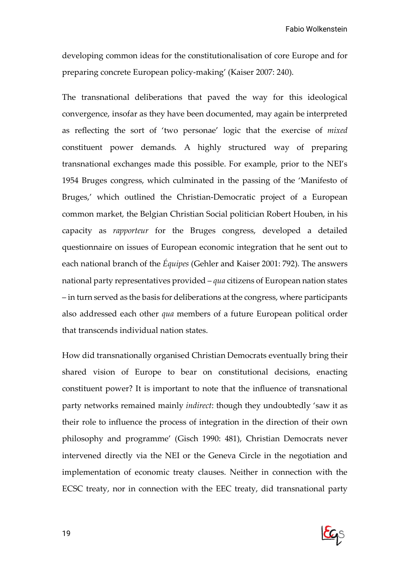developing common ideas for the constitutionalisation of core Europe and for preparing concrete European policy-making' (Kaiser 2007: 240).

The transnational deliberations that paved the way for this ideological convergence, insofar as they have been documented, may again be interpreted as reflecting the sort of 'two personae' logic that the exercise of *mixed*  constituent power demands. A highly structured way of preparing transnational exchanges made this possible. For example, prior to the NEI's 1954 Bruges congress, which culminated in the passing of the 'Manifesto of Bruges,' which outlined the Christian-Democratic project of a European common market, the Belgian Christian Social politician Robert Houben, in his capacity as *rapporteur* for the Bruges congress, developed a detailed questionnaire on issues of European economic integration that he sent out to each national branch of the *Équipes* (Gehler and Kaiser 2001: 792). The answers national party representatives provided – *qua* citizens of European nation states – in turn served as the basis for deliberations at the congress, where participants also addressed each other *qua* members of a future European political order that transcends individual nation states.

How did transnationally organised Christian Democrats eventually bring their shared vision of Europe to bear on constitutional decisions, enacting constituent power? It is important to note that the influence of transnational party networks remained mainly *indirect*: though they undoubtedly 'saw it as their role to influence the process of integration in the direction of their own philosophy and programme' (Gisch 1990: 481), Christian Democrats never intervened directly via the NEI or the Geneva Circle in the negotiation and implementation of economic treaty clauses. Neither in connection with the ECSC treaty, nor in connection with the EEC treaty, did transnational party

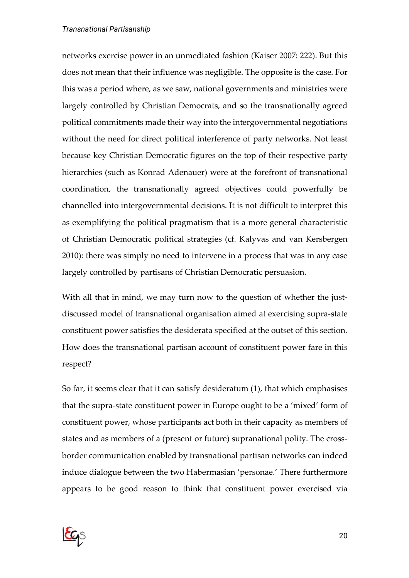#### *Transnational Partisanship*

networks exercise power in an unmediated fashion (Kaiser 2007: 222). But this does not mean that their influence was negligible. The opposite is the case. For this was a period where, as we saw, national governments and ministries were largely controlled by Christian Democrats, and so the transnationally agreed political commitments made their way into the intergovernmental negotiations without the need for direct political interference of party networks. Not least because key Christian Democratic figures on the top of their respective party hierarchies (such as Konrad Adenauer) were at the forefront of transnational coordination, the transnationally agreed objectives could powerfully be channelled into intergovernmental decisions. It is not difficult to interpret this as exemplifying the political pragmatism that is a more general characteristic of Christian Democratic political strategies (cf. Kalyvas and van Kersbergen 2010): there was simply no need to intervene in a process that was in any case largely controlled by partisans of Christian Democratic persuasion.

With all that in mind, we may turn now to the question of whether the justdiscussed model of transnational organisation aimed at exercising supra-state constituent power satisfies the desiderata specified at the outset of this section. How does the transnational partisan account of constituent power fare in this respect?

So far, it seems clear that it can satisfy desideratum (1), that which emphasises that the supra-state constituent power in Europe ought to be a 'mixed' form of constituent power, whose participants act both in their capacity as members of states and as members of a (present or future) supranational polity. The crossborder communication enabled by transnational partisan networks can indeed induce dialogue between the two Habermasian 'personae.' There furthermore appears to be good reason to think that constituent power exercised via

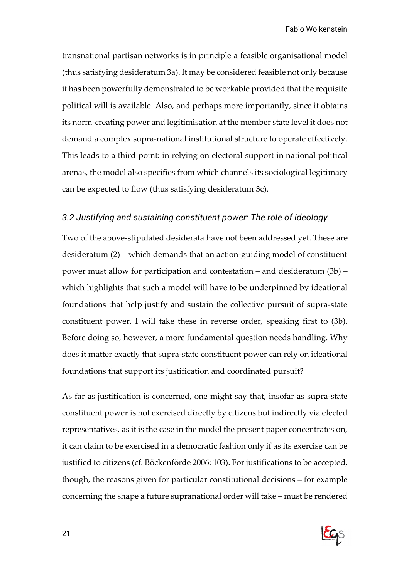transnational partisan networks is in principle a feasible organisational model (thus satisfying desideratum 3a). It may be considered feasible not only because it has been powerfully demonstrated to be workable provided that the requisite political will is available. Also, and perhaps more importantly, since it obtains its norm-creating power and legitimisation at the member state level it does not demand a complex supra-national institutional structure to operate effectively. This leads to a third point: in relying on electoral support in national political arenas, the model also specifies from which channels its sociological legitimacy can be expected to flow (thus satisfying desideratum 3c).

#### *3.2 Justifying and sustaining constituent power: The role of ideology*

Two of the above-stipulated desiderata have not been addressed yet. These are desideratum (2) – which demands that an action-guiding model of constituent power must allow for participation and contestation – and desideratum (3b) – which highlights that such a model will have to be underpinned by ideational foundations that help justify and sustain the collective pursuit of supra-state constituent power. I will take these in reverse order, speaking first to (3b). Before doing so, however, a more fundamental question needs handling. Why does it matter exactly that supra-state constituent power can rely on ideational foundations that support its justification and coordinated pursuit?

As far as justification is concerned, one might say that, insofar as supra-state constituent power is not exercised directly by citizens but indirectly via elected representatives, as it is the case in the model the present paper concentrates on, it can claim to be exercised in a democratic fashion only if as its exercise can be justified to citizens (cf. Böckenförde 2006: 103). For justifications to be accepted, though, the reasons given for particular constitutional decisions – for example concerning the shape a future supranational order will take – must be rendered

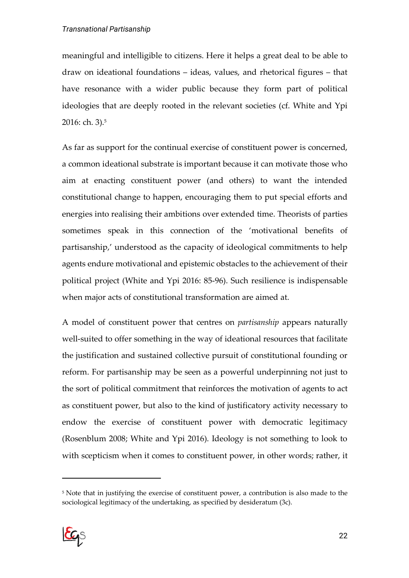meaningful and intelligible to citizens. Here it helps a great deal to be able to draw on ideational foundations – ideas, values, and rhetorical figures – that have resonance with a wider public because they form part of political ideologies that are deeply rooted in the relevant societies (cf. White and Ypi 2016: ch. 3).5

As far as support for the continual exercise of constituent power is concerned, a common ideational substrate is important because it can motivate those who aim at enacting constituent power (and others) to want the intended constitutional change to happen, encouraging them to put special efforts and energies into realising their ambitions over extended time. Theorists of parties sometimes speak in this connection of the 'motivational benefits of partisanship,' understood as the capacity of ideological commitments to help agents endure motivational and epistemic obstacles to the achievement of their political project (White and Ypi 2016: 85-96). Such resilience is indispensable when major acts of constitutional transformation are aimed at.

A model of constituent power that centres on *partisanship* appears naturally well-suited to offer something in the way of ideational resources that facilitate the justification and sustained collective pursuit of constitutional founding or reform. For partisanship may be seen as a powerful underpinning not just to the sort of political commitment that reinforces the motivation of agents to act as constituent power, but also to the kind of justificatory activity necessary to endow the exercise of constituent power with democratic legitimacy (Rosenblum 2008; White and Ypi 2016). Ideology is not something to look to with scepticism when it comes to constituent power, in other words; rather, it

<sup>5</sup> Note that in justifying the exercise of constituent power, a contribution is also made to the sociological legitimacy of the undertaking, as specified by desideratum (3c).

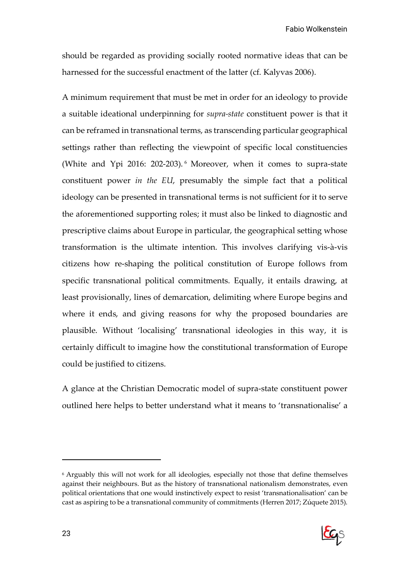should be regarded as providing socially rooted normative ideas that can be harnessed for the successful enactment of the latter (cf. Kalyvas 2006).

A minimum requirement that must be met in order for an ideology to provide a suitable ideational underpinning for *supra-state* constituent power is that it can be reframed in transnational terms, as transcending particular geographical settings rather than reflecting the viewpoint of specific local constituencies (White and Ypi 2016: 202-203). <sup>6</sup> Moreover, when it comes to supra-state constituent power *in the EU*, presumably the simple fact that a political ideology can be presented in transnational terms is not sufficient for it to serve the aforementioned supporting roles; it must also be linked to diagnostic and prescriptive claims about Europe in particular, the geographical setting whose transformation is the ultimate intention. This involves clarifying vis-à-vis citizens how re-shaping the political constitution of Europe follows from specific transnational political commitments. Equally, it entails drawing, at least provisionally, lines of demarcation, delimiting where Europe begins and where it ends, and giving reasons for why the proposed boundaries are plausible. Without 'localising' transnational ideologies in this way, it is certainly difficult to imagine how the constitutional transformation of Europe could be justified to citizens.

A glance at the Christian Democratic model of supra-state constituent power outlined here helps to better understand what it means to 'transnationalise' a

<sup>6</sup> Arguably this will not work for all ideologies, especially not those that define themselves against their neighbours. But as the history of transnational nationalism demonstrates, even political orientations that one would instinctively expect to resist 'transnationalisation' can be cast as aspiring to be a transnational community of commitments (Herren 2017; Zúquete 2015).

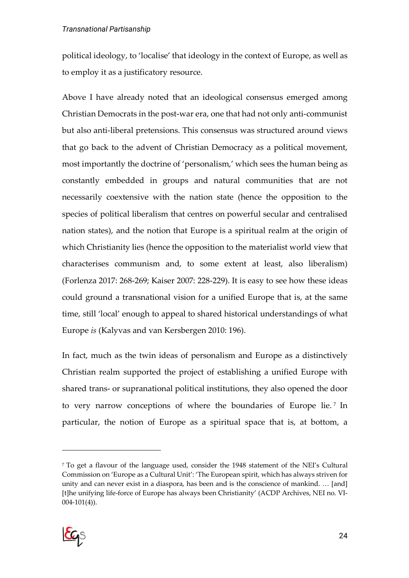political ideology, to 'localise' that ideology in the context of Europe, as well as to employ it as a justificatory resource.

Above I have already noted that an ideological consensus emerged among Christian Democrats in the post-war era, one that had not only anti-communist but also anti-liberal pretensions. This consensus was structured around views that go back to the advent of Christian Democracy as a political movement, most importantly the doctrine of 'personalism,' which sees the human being as constantly embedded in groups and natural communities that are not necessarily coextensive with the nation state (hence the opposition to the species of political liberalism that centres on powerful secular and centralised nation states), and the notion that Europe is a spiritual realm at the origin of which Christianity lies (hence the opposition to the materialist world view that characterises communism and, to some extent at least, also liberalism) (Forlenza 2017: 268-269; Kaiser 2007: 228-229). It is easy to see how these ideas could ground a transnational vision for a unified Europe that is, at the same time, still 'local' enough to appeal to shared historical understandings of what Europe *is* (Kalyvas and van Kersbergen 2010: 196).

In fact, much as the twin ideas of personalism and Europe as a distinctively Christian realm supported the project of establishing a unified Europe with shared trans- or supranational political institutions, they also opened the door to very narrow conceptions of where the boundaries of Europe lie.<sup>7</sup> In particular, the notion of Europe as a spiritual space that is, at bottom, a

<sup>7</sup> To get a flavour of the language used, consider the 1948 statement of the NEI's Cultural Commission on 'Europe as a Cultural Unit': 'The European spirit, which has always striven for unity and can never exist in a diaspora, has been and is the conscience of mankind. … [and] [t]he unifying life-force of Europe has always been Christianity' (ACDP Archives, NEI no. VI- $004-101(4)$ ).

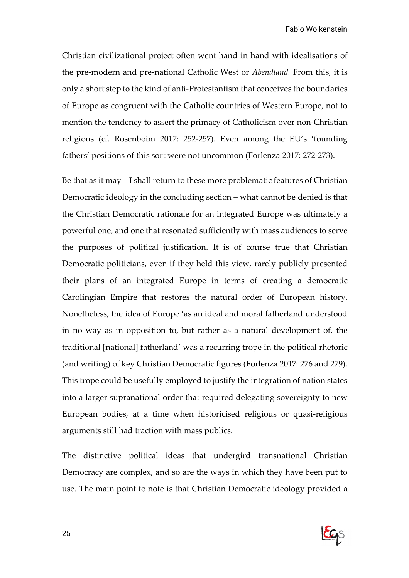Christian civilizational project often went hand in hand with idealisations of the pre-modern and pre-national Catholic West or *Abendland.* From this, it is only a short step to the kind of anti-Protestantism that conceives the boundaries of Europe as congruent with the Catholic countries of Western Europe, not to mention the tendency to assert the primacy of Catholicism over non-Christian religions (cf. Rosenboim 2017: 252-257). Even among the EU's 'founding fathers' positions of this sort were not uncommon (Forlenza 2017: 272-273).

Be that as it may – I shall return to these more problematic features of Christian Democratic ideology in the concluding section – what cannot be denied is that the Christian Democratic rationale for an integrated Europe was ultimately a powerful one, and one that resonated sufficiently with mass audiences to serve the purposes of political justification. It is of course true that Christian Democratic politicians, even if they held this view, rarely publicly presented their plans of an integrated Europe in terms of creating a democratic Carolingian Empire that restores the natural order of European history. Nonetheless, the idea of Europe 'as an ideal and moral fatherland understood in no way as in opposition to, but rather as a natural development of, the traditional [national] fatherland' was a recurring trope in the political rhetoric (and writing) of key Christian Democratic figures (Forlenza 2017: 276 and 279). This trope could be usefully employed to justify the integration of nation states into a larger supranational order that required delegating sovereignty to new European bodies, at a time when historicised religious or quasi-religious arguments still had traction with mass publics.

The distinctive political ideas that undergird transnational Christian Democracy are complex, and so are the ways in which they have been put to use. The main point to note is that Christian Democratic ideology provided a

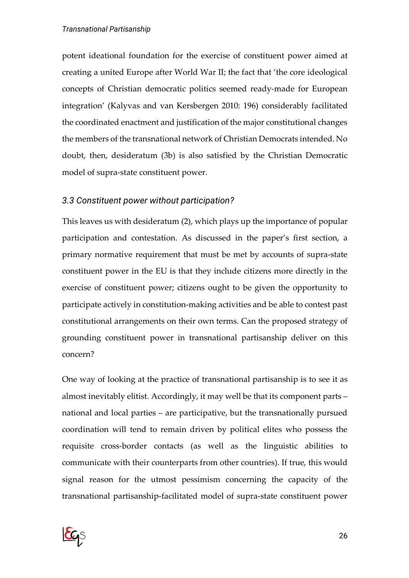potent ideational foundation for the exercise of constituent power aimed at creating a united Europe after World War II; the fact that 'the core ideological concepts of Christian democratic politics seemed ready-made for European integration' (Kalyvas and van Kersbergen 2010: 196) considerably facilitated the coordinated enactment and justification of the major constitutional changes the members of the transnational network of Christian Democrats intended. No doubt, then, desideratum (3b) is also satisfied by the Christian Democratic model of supra-state constituent power.

#### *3.3 Constituent power without participation?*

This leaves us with desideratum (2), which plays up the importance of popular participation and contestation. As discussed in the paper's first section, a primary normative requirement that must be met by accounts of supra-state constituent power in the EU is that they include citizens more directly in the exercise of constituent power; citizens ought to be given the opportunity to participate actively in constitution-making activities and be able to contest past constitutional arrangements on their own terms. Can the proposed strategy of grounding constituent power in transnational partisanship deliver on this concern?

One way of looking at the practice of transnational partisanship is to see it as almost inevitably elitist. Accordingly, it may well be that its component parts – national and local parties – are participative, but the transnationally pursued coordination will tend to remain driven by political elites who possess the requisite cross-border contacts (as well as the linguistic abilities to communicate with their counterparts from other countries). If true, this would signal reason for the utmost pessimism concerning the capacity of the transnational partisanship-facilitated model of supra-state constituent power

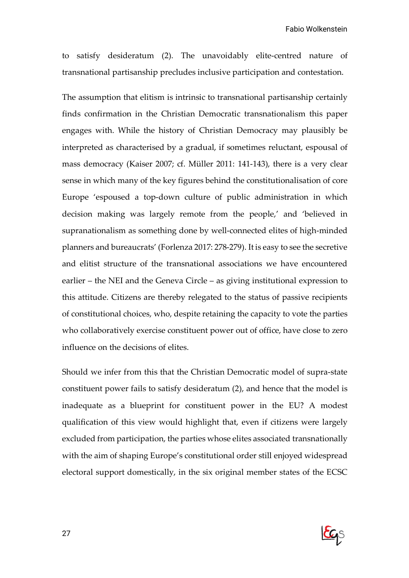to satisfy desideratum (2). The unavoidably elite-centred nature of transnational partisanship precludes inclusive participation and contestation.

The assumption that elitism is intrinsic to transnational partisanship certainly finds confirmation in the Christian Democratic transnationalism this paper engages with. While the history of Christian Democracy may plausibly be interpreted as characterised by a gradual, if sometimes reluctant, espousal of mass democracy (Kaiser 2007; cf. Müller 2011: 141-143), there is a very clear sense in which many of the key figures behind the constitutionalisation of core Europe 'espoused a top-down culture of public administration in which decision making was largely remote from the people,' and 'believed in supranationalism as something done by well-connected elites of high-minded planners and bureaucrats' (Forlenza 2017: 278-279). It is easy to see the secretive and elitist structure of the transnational associations we have encountered earlier – the NEI and the Geneva Circle – as giving institutional expression to this attitude. Citizens are thereby relegated to the status of passive recipients of constitutional choices, who, despite retaining the capacity to vote the parties who collaboratively exercise constituent power out of office, have close to zero influence on the decisions of elites.

Should we infer from this that the Christian Democratic model of supra-state constituent power fails to satisfy desideratum (2), and hence that the model is inadequate as a blueprint for constituent power in the EU? A modest qualification of this view would highlight that, even if citizens were largely excluded from participation, the parties whose elites associated transnationally with the aim of shaping Europe's constitutional order still enjoyed widespread electoral support domestically, in the six original member states of the ECSC

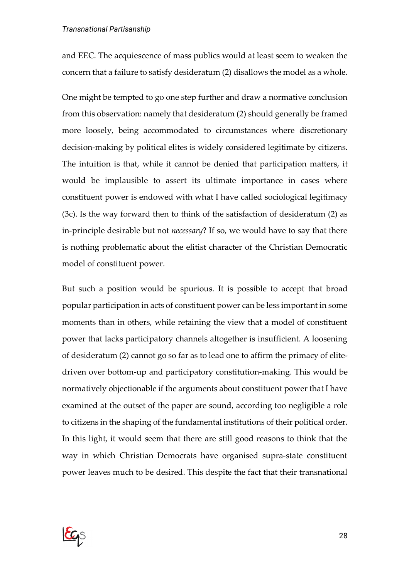#### *Transnational Partisanship*

and EEC. The acquiescence of mass publics would at least seem to weaken the concern that a failure to satisfy desideratum (2) disallows the model as a whole.

One might be tempted to go one step further and draw a normative conclusion from this observation: namely that desideratum (2) should generally be framed more loosely, being accommodated to circumstances where discretionary decision-making by political elites is widely considered legitimate by citizens. The intuition is that, while it cannot be denied that participation matters, it would be implausible to assert its ultimate importance in cases where constituent power is endowed with what I have called sociological legitimacy (3c). Is the way forward then to think of the satisfaction of desideratum (2) as in-principle desirable but not *necessary*? If so, we would have to say that there is nothing problematic about the elitist character of the Christian Democratic model of constituent power.

But such a position would be spurious. It is possible to accept that broad popular participation in acts of constituent power can be less important in some moments than in others, while retaining the view that a model of constituent power that lacks participatory channels altogether is insufficient. A loosening of desideratum (2) cannot go so far as to lead one to affirm the primacy of elitedriven over bottom-up and participatory constitution-making. This would be normatively objectionable if the arguments about constituent power that I have examined at the outset of the paper are sound, according too negligible a role to citizens in the shaping of the fundamental institutions of their political order. In this light, it would seem that there are still good reasons to think that the way in which Christian Democrats have organised supra-state constituent power leaves much to be desired. This despite the fact that their transnational

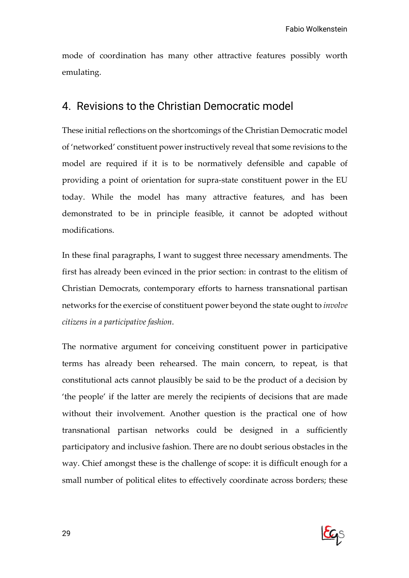mode of coordination has many other attractive features possibly worth emulating.

### 4. Revisions to the Christian Democratic model

These initial reflections on the shortcomings of the Christian Democratic model of 'networked' constituent power instructively reveal that some revisions to the model are required if it is to be normatively defensible and capable of providing a point of orientation for supra-state constituent power in the EU today. While the model has many attractive features, and has been demonstrated to be in principle feasible, it cannot be adopted without modifications.

In these final paragraphs, I want to suggest three necessary amendments. The first has already been evinced in the prior section: in contrast to the elitism of Christian Democrats, contemporary efforts to harness transnational partisan networks for the exercise of constituent power beyond the state ought to *involve citizens in a participative fashion*.

The normative argument for conceiving constituent power in participative terms has already been rehearsed. The main concern, to repeat, is that constitutional acts cannot plausibly be said to be the product of a decision by 'the people' if the latter are merely the recipients of decisions that are made without their involvement. Another question is the practical one of how transnational partisan networks could be designed in a sufficiently participatory and inclusive fashion. There are no doubt serious obstacles in the way. Chief amongst these is the challenge of scope: it is difficult enough for a small number of political elites to effectively coordinate across borders; these

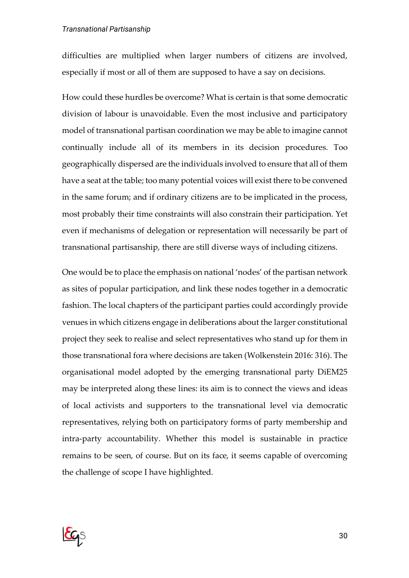#### *Transnational Partisanship*

difficulties are multiplied when larger numbers of citizens are involved, especially if most or all of them are supposed to have a say on decisions.

How could these hurdles be overcome? What is certain is that some democratic division of labour is unavoidable. Even the most inclusive and participatory model of transnational partisan coordination we may be able to imagine cannot continually include all of its members in its decision procedures. Too geographically dispersed are the individuals involved to ensure that all of them have a seat at the table; too many potential voices will exist there to be convened in the same forum; and if ordinary citizens are to be implicated in the process, most probably their time constraints will also constrain their participation. Yet even if mechanisms of delegation or representation will necessarily be part of transnational partisanship, there are still diverse ways of including citizens.

One would be to place the emphasis on national 'nodes' of the partisan network as sites of popular participation, and link these nodes together in a democratic fashion. The local chapters of the participant parties could accordingly provide venues in which citizens engage in deliberations about the larger constitutional project they seek to realise and select representatives who stand up for them in those transnational fora where decisions are taken (Wolkenstein 2016: 316). The organisational model adopted by the emerging transnational party DiEM25 may be interpreted along these lines: its aim is to connect the views and ideas of local activists and supporters to the transnational level via democratic representatives, relying both on participatory forms of party membership and intra-party accountability. Whether this model is sustainable in practice remains to be seen, of course. But on its face, it seems capable of overcoming the challenge of scope I have highlighted.

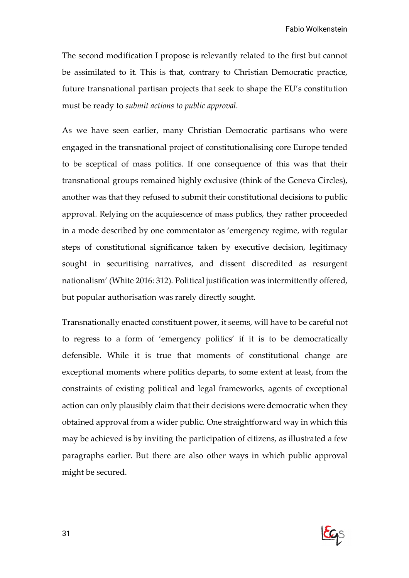The second modification I propose is relevantly related to the first but cannot be assimilated to it. This is that, contrary to Christian Democratic practice, future transnational partisan projects that seek to shape the EU's constitution must be ready to *submit actions to public approval*.

As we have seen earlier, many Christian Democratic partisans who were engaged in the transnational project of constitutionalising core Europe tended to be sceptical of mass politics. If one consequence of this was that their transnational groups remained highly exclusive (think of the Geneva Circles), another was that they refused to submit their constitutional decisions to public approval. Relying on the acquiescence of mass publics, they rather proceeded in a mode described by one commentator as 'emergency regime, with regular steps of constitutional significance taken by executive decision, legitimacy sought in securitising narratives, and dissent discredited as resurgent nationalism' (White 2016: 312). Political justification was intermittently offered, but popular authorisation was rarely directly sought.

Transnationally enacted constituent power, it seems, will have to be careful not to regress to a form of 'emergency politics' if it is to be democratically defensible. While it is true that moments of constitutional change are exceptional moments where politics departs, to some extent at least, from the constraints of existing political and legal frameworks, agents of exceptional action can only plausibly claim that their decisions were democratic when they obtained approval from a wider public. One straightforward way in which this may be achieved is by inviting the participation of citizens, as illustrated a few paragraphs earlier. But there are also other ways in which public approval might be secured.



31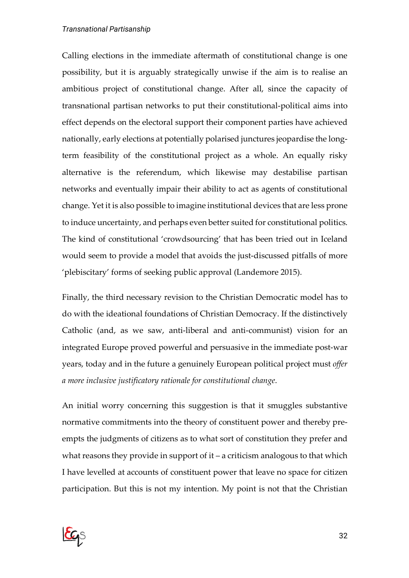#### *Transnational Partisanship*

Calling elections in the immediate aftermath of constitutional change is one possibility, but it is arguably strategically unwise if the aim is to realise an ambitious project of constitutional change. After all, since the capacity of transnational partisan networks to put their constitutional-political aims into effect depends on the electoral support their component parties have achieved nationally, early elections at potentially polarised junctures jeopardise the longterm feasibility of the constitutional project as a whole. An equally risky alternative is the referendum, which likewise may destabilise partisan networks and eventually impair their ability to act as agents of constitutional change. Yet it is also possible to imagine institutional devices that are less prone to induce uncertainty, and perhaps even better suited for constitutional politics. The kind of constitutional 'crowdsourcing' that has been tried out in Iceland would seem to provide a model that avoids the just-discussed pitfalls of more 'plebiscitary' forms of seeking public approval (Landemore 2015).

Finally, the third necessary revision to the Christian Democratic model has to do with the ideational foundations of Christian Democracy. If the distinctively Catholic (and, as we saw, anti-liberal and anti-communist) vision for an integrated Europe proved powerful and persuasive in the immediate post-war years, today and in the future a genuinely European political project must *offer a more inclusive justificatory rationale for constitutional change*.

An initial worry concerning this suggestion is that it smuggles substantive normative commitments into the theory of constituent power and thereby preempts the judgments of citizens as to what sort of constitution they prefer and what reasons they provide in support of it – a criticism analogous to that which I have levelled at accounts of constituent power that leave no space for citizen participation. But this is not my intention. My point is not that the Christian

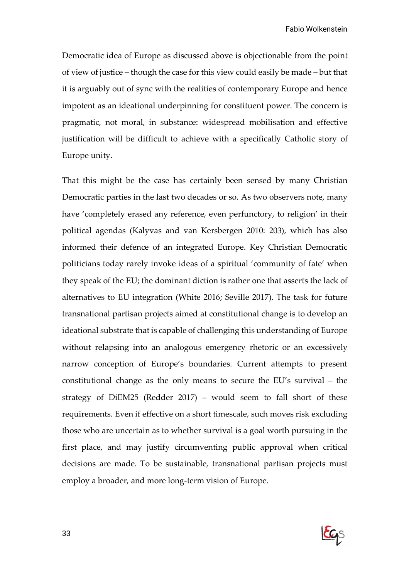Democratic idea of Europe as discussed above is objectionable from the point of view of justice – though the case for this view could easily be made – but that it is arguably out of sync with the realities of contemporary Europe and hence impotent as an ideational underpinning for constituent power. The concern is pragmatic, not moral, in substance: widespread mobilisation and effective justification will be difficult to achieve with a specifically Catholic story of Europe unity.

That this might be the case has certainly been sensed by many Christian Democratic parties in the last two decades or so. As two observers note, many have 'completely erased any reference, even perfunctory, to religion' in their political agendas (Kalyvas and van Kersbergen 2010: 203), which has also informed their defence of an integrated Europe. Key Christian Democratic politicians today rarely invoke ideas of a spiritual 'community of fate' when they speak of the EU; the dominant diction is rather one that asserts the lack of alternatives to EU integration (White 2016; Seville 2017). The task for future transnational partisan projects aimed at constitutional change is to develop an ideational substrate that is capable of challenging this understanding of Europe without relapsing into an analogous emergency rhetoric or an excessively narrow conception of Europe's boundaries. Current attempts to present constitutional change as the only means to secure the EU's survival – the strategy of DiEM25 (Redder 2017) – would seem to fall short of these requirements. Even if effective on a short timescale, such moves risk excluding those who are uncertain as to whether survival is a goal worth pursuing in the first place, and may justify circumventing public approval when critical decisions are made. To be sustainable, transnational partisan projects must employ a broader, and more long-term vision of Europe.

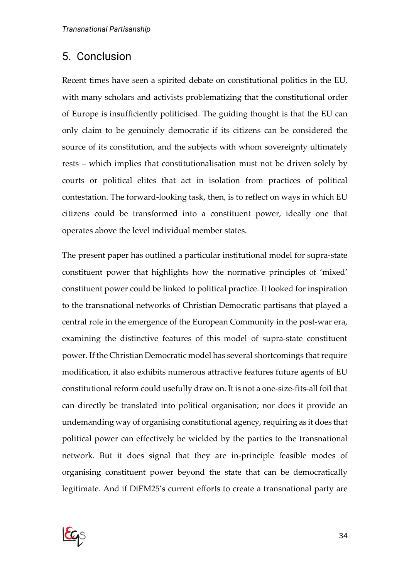### 5. Conclusion

Recent times have seen a spirited debate on constitutional politics in the EU, with many scholars and activists problematizing that the constitutional order of Europe is insufficiently politicised. The guiding thought is that the EU can only claim to be genuinely democratic if its citizens can be considered the source of its constitution, and the subjects with whom sovereignty ultimately rests – which implies that constitutionalisation must not be driven solely by courts or political elites that act in isolation from practices of political contestation. The forward-looking task, then, is to reflect on ways in which EU citizens could be transformed into a constituent power, ideally one that operates above the level individual member states.

The present paper has outlined a particular institutional model for supra-state constituent power that highlights how the normative principles of 'mixed' constituent power could be linked to political practice. It looked for inspiration to the transnational networks of Christian Democratic partisans that played a central role in the emergence of the European Community in the post-war era, examining the distinctive features of this model of supra-state constituent power. If the Christian Democratic model has several shortcomings that require modification, it also exhibits numerous attractive features future agents of EU constitutional reform could usefully draw on. It is not a one-size-fits-all foil that can directly be translated into political organisation; nor does it provide an undemanding way of organising constitutional agency, requiring as it does that political power can effectively be wielded by the parties to the transnational network. But it does signal that they are in-principle feasible modes of organising constituent power beyond the state that can be democratically legitimate. And if DiEM25's current efforts to create a transnational party are

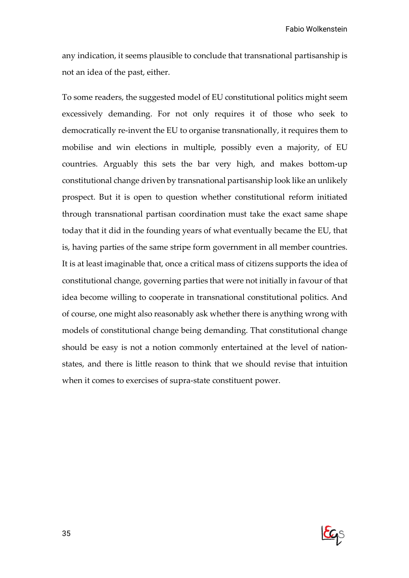any indication, it seems plausible to conclude that transnational partisanship is not an idea of the past, either.

To some readers, the suggested model of EU constitutional politics might seem excessively demanding. For not only requires it of those who seek to democratically re-invent the EU to organise transnationally, it requires them to mobilise and win elections in multiple, possibly even a majority, of EU countries. Arguably this sets the bar very high, and makes bottom-up constitutional change driven by transnational partisanship look like an unlikely prospect. But it is open to question whether constitutional reform initiated through transnational partisan coordination must take the exact same shape today that it did in the founding years of what eventually became the EU, that is, having parties of the same stripe form government in all member countries. It is at least imaginable that, once a critical mass of citizens supports the idea of constitutional change, governing parties that were not initially in favour of that idea become willing to cooperate in transnational constitutional politics. And of course, one might also reasonably ask whether there is anything wrong with models of constitutional change being demanding. That constitutional change should be easy is not a notion commonly entertained at the level of nationstates, and there is little reason to think that we should revise that intuition when it comes to exercises of supra-state constituent power.

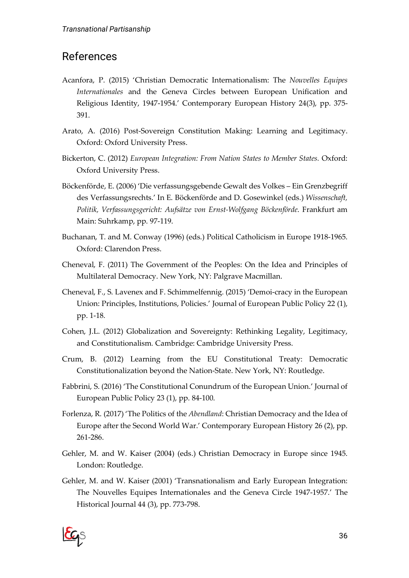## References

- Acanfora, P. (2015) 'Christian Democratic Internationalism: The *Nouvelles Equipes Internationales* and the Geneva Circles between European Unification and Religious Identity, 1947-1954.' Contemporary European History 24(3), pp. 375- 391.
- Arato, A. (2016) Post-Sovereign Constitution Making: Learning and Legitimacy. Oxford: Oxford University Press.
- Bickerton, C. (2012) *European Integration: From Nation States to Member States.* Oxford: Oxford University Press.
- Böckenförde, E. (2006) 'Die verfassungsgebende Gewalt des Volkes Ein Grenzbegriff des Verfassungsrechts.' In E. Böckenförde and D. Gosewinkel (eds.) *Wissenschaft, Politik, Verfassungsgericht: Aufsätze von Ernst-Wolfgang Böckenförde*. Frankfurt am Main: Suhrkamp, pp. 97-119.
- Buchanan, T. and M. Conway (1996) (eds.) Political Catholicism in Europe 1918-1965. Oxford: Clarendon Press.
- Cheneval, F. (2011) The Government of the Peoples: On the Idea and Principles of Multilateral Democracy. New York, NY: Palgrave Macmillan.
- Cheneval, F., S. Lavenex and F. Schimmelfennig. (2015) 'Demoi-cracy in the European Union: Principles, Institutions, Policies.' Journal of European Public Policy 22 (1), pp. 1-18.
- Cohen, J.L. (2012) Globalization and Sovereignty: Rethinking Legality, Legitimacy, and Constitutionalism*.* Cambridge: Cambridge University Press.
- Crum, B. (2012) Learning from the EU Constitutional Treaty: Democratic Constitutionalization beyond the Nation-State. New York, NY: Routledge.
- Fabbrini, S. (2016) 'The Constitutional Conundrum of the European Union.' Journal of European Public Policy 23 (1), pp. 84-100.
- Forlenza, R. (2017) 'The Politics of the *Abendland*: Christian Democracy and the Idea of Europe after the Second World War.' Contemporary European History 26 (2), pp. 261-286.
- Gehler, M. and W. Kaiser (2004) (eds.) Christian Democracy in Europe since 1945. London: Routledge.
- Gehler, M. and W. Kaiser (2001) 'Transnationalism and Early European Integration: The Nouvelles Equipes Internationales and the Geneva Circle 1947-1957.' The Historical Journal 44 (3), pp. 773-798.

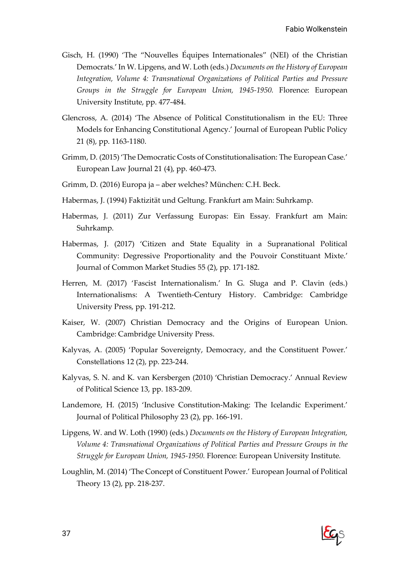- Gisch, H. (1990) 'The "Nouvelles Équipes Internationales" (NEI) of the Christian Democrats.' In W. Lipgens, and W. Loth (eds.) *Documents on the History of European Integration, Volume 4: Transnational Organizations of Political Parties and Pressure Groups in the Struggle for European Union, 1945-1950.* Florence: European University Institute, pp. 477-484.
- Glencross, A. (2014) 'The Absence of Political Constitutionalism in the EU: Three Models for Enhancing Constitutional Agency.' Journal of European Public Policy 21 (8), pp. 1163-1180.
- Grimm, D. (2015) 'The Democratic Costs of Constitutionalisation: The European Case.' European Law Journal 21 (4), pp. 460-473.
- Grimm, D. (2016) Europa ja aber welches? München: C.H. Beck.
- Habermas, J. (1994) Faktizität und Geltung. Frankfurt am Main: Suhrkamp.
- Habermas, J. (2011) Zur Verfassung Europas: Ein Essay*.* Frankfurt am Main: Suhrkamp.
- Habermas, J. (2017) 'Citizen and State Equality in a Supranational Political Community: Degressive Proportionality and the Pouvoir Constituant Mixte.' Journal of Common Market Studies 55 (2), pp. 171-182.
- Herren, M. (2017) 'Fascist Internationalism.' In G. Sluga and P. Clavin (eds.) Internationalisms: A Twentieth-Century History. Cambridge: Cambridge University Press, pp. 191-212.
- Kaiser, W. (2007) Christian Democracy and the Origins of European Union. Cambridge: Cambridge University Press.
- Kalyvas, A. (2005) 'Popular Sovereignty, Democracy, and the Constituent Power.' Constellations 12 (2), pp. 223-244.
- Kalyvas, S. N. and K. van Kersbergen (2010) 'Christian Democracy.' Annual Review of Political Science 13, pp. 183-209.
- Landemore, H. (2015) 'Inclusive Constitution-Making: The Icelandic Experiment.' Journal of Political Philosophy 23 (2), pp. 166-191.
- Lipgens, W. and W. Loth (1990) (eds.) *Documents on the History of European Integration, Volume 4: Transnational Organizations of Political Parties and Pressure Groups in the Struggle for European Union, 1945-1950.* Florence: European University Institute.
- Loughlin, M. (2014) 'The Concept of Constituent Power.' European Journal of Political Theory 13 (2), pp. 218-237.

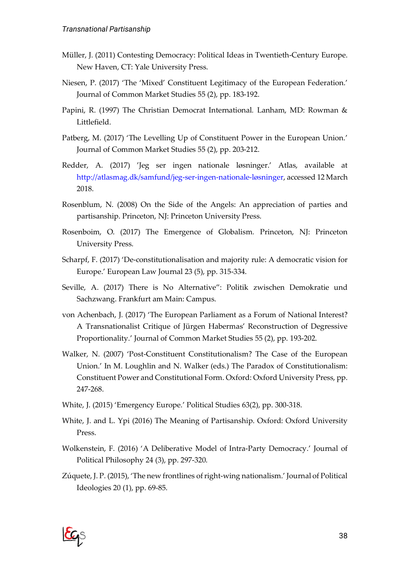- Müller, J. (2011) Contesting Democracy: Political Ideas in Twentieth-Century Europe. New Haven, CT: Yale University Press.
- Niesen, P. (2017) 'The 'Mixed' Constituent Legitimacy of the European Federation.' Journal of Common Market Studies 55 (2), pp. 183-192.
- Papini, R. (1997) The Christian Democrat International*.* Lanham, MD: Rowman & Littlefield.
- Patberg, M. (2017) 'The Levelling Up of Constituent Power in the European Union.' Journal of Common Market Studies 55 (2), pp. 203-212.
- Redder, A. (2017) 'Jeg ser ingen nationale løsninger.' Atlas, available at http://atlasmag.dk/samfund/jeg-ser-ingen-nationale-løsninger, accessed 12 March 2018.
- Rosenblum, N. (2008) On the Side of the Angels: An appreciation of parties and partisanship. Princeton, NJ: Princeton University Press.
- Rosenboim, O. (2017) The Emergence of Globalism*.* Princeton, NJ: Princeton University Press.
- Scharpf, F. (2017) 'De-constitutionalisation and majority rule: A democratic vision for Europe.' European Law Journal 23 (5), pp. 315-334.
- Seville, A. (2017) There is No Alternative": Politik zwischen Demokratie und Sachzwang. Frankfurt am Main: Campus.
- von Achenbach, J. (2017) 'The European Parliament as a Forum of National Interest? A Transnationalist Critique of Jürgen Habermas' Reconstruction of Degressive Proportionality.' Journal of Common Market Studies 55 (2), pp. 193-202.
- Walker, N. (2007) 'Post-Constituent Constitutionalism? The Case of the European Union.' In M. Loughlin and N. Walker (eds.) The Paradox of Constitutionalism: Constituent Power and Constitutional Form. Oxford: Oxford University Press, pp. 247-268.
- White, J. (2015) 'Emergency Europe.' Political Studies 63(2), pp. 300-318.
- White, J. and L. Ypi (2016) The Meaning of Partisanship. Oxford: Oxford University Press.
- Wolkenstein, F. (2016) 'A Deliberative Model of Intra-Party Democracy.' Journal of Political Philosophy 24 (3), pp. 297-320.
- Zúquete, J. P. (2015), 'The new frontlines of right-wing nationalism.' Journal of Political Ideologies 20 (1), pp. 69-85.

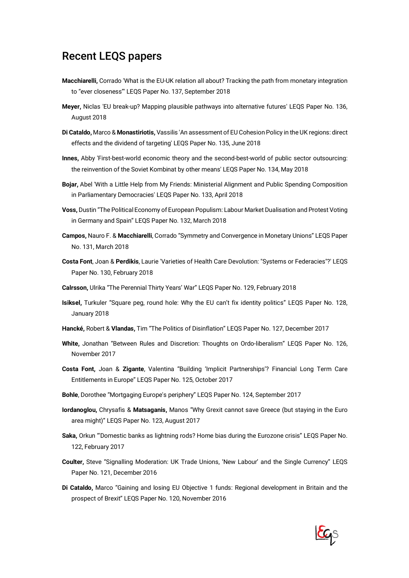## Recent LEQS papers

- **Macchiarelli,** Corrado 'What is the EU-UK relation all about? Tracking the path from monetary integration to "ever closeness"' LEQS Paper No. 137, September 2018
- **Meyer,** Niclas 'EU break-up? Mapping plausible pathways into alternative futures' LEQS Paper No. 136, August 2018
- **Di Cataldo,** Marco & **Monastiriotis,** Vassilis 'An assessment of EU Cohesion Policy in the UK regions: direct effects and the dividend of targeting' LEQS Paper No. 135, June 2018
- **Innes,** Abby 'First-best-world economic theory and the second-best-world of public sector outsourcing: the reinvention of the Soviet Kombinat by other means' LEQS Paper No. 134, May 2018
- **Bojar,** Abel 'With a Little Help from My Friends: Ministerial Alignment and Public Spending Composition in Parliamentary Democracies' LEQS Paper No. 133, April 2018
- **Voss,** Dustin "The Political Economy of European Populism: Labour Market Dualisation and Protest Voting in Germany and Spain" LEQS Paper No. 132, March 2018
- **Campos,** Nauro F. & **Macchiarelli**, Corrado "Symmetry and Convergence in Monetary Unions" LEQS Paper No. 131, March 2018
- **Costa Font**, Joan & **Perdikis**, Laurie 'Varieties of Health Care Devolution: "Systems or Federacies"?' LEQS Paper No. 130, February 2018
- **Calrsson,** Ulrika "The Perennial Thirty Years' War" LEQS Paper No. 129, February 2018
- **Isiksel,** Turkuler "Square peg, round hole: Why the EU can't fix identity politics" LEQS Paper No. 128, January 2018
- **Hancké,** Robert & **Vlandas,** Tim "The Politics of Disinflation" LEQS Paper No. 127, December 2017
- **White,** Jonathan "Between Rules and Discretion: Thoughts on Ordo-liberalism" LEQS Paper No. 126, November 2017
- **Costa Font,** Joan & **Zigante**, Valentina "Building 'Implicit Partnerships'? Financial Long Term Care Entitlements in Europe" LEQS Paper No. 125, October 2017
- **Bohle**, Dorothee "Mortgaging Europe's periphery" LEQS Paper No. 124, September 2017
- **Iordanoglou,** Chrysafis & **Matsaganis,** Manos "Why Grexit cannot save Greece (but staying in the Euro area might)" LEQS Paper No. 123, August 2017
- **Saka,** Orkun "'Domestic banks as lightning rods? Home bias during the Eurozone crisis" LEQS Paper No. 122, February 2017
- **Coulter,** Steve "Signalling Moderation: UK Trade Unions, 'New Labour' and the Single Currency" LEQS Paper No. 121, December 2016
- **Di Cataldo,** Marco "Gaining and losing EU Objective 1 funds: Regional development in Britain and the prospect of Brexit" LEQS Paper No. 120, November 2016